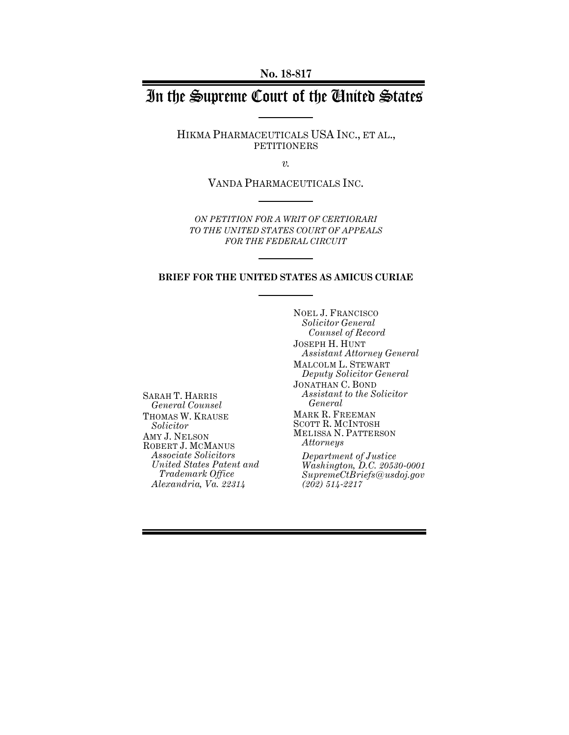**No. 18-817**

# In the Supreme Court of the United States

HIKMA PHARMACEUTICALS USA INC., ET AL., PETITIONERS

*v.*

VANDA PHARMACEUTICALS INC.

*ON PETITION FOR A WRIT OF CERTIORARI TO THE UNITED STATES COURT OF APPEALS FOR THE FEDERAL CIRCUIT*

### **BRIEF FOR THE UNITED STATES AS AMICUS CURIAE**

SARAH T. HARRIS *General Counsel* THOMAS W. KRAUSE *Solicitor* AMY J. NELSON ROBERT J. MCMANUS *Associate Solicitors United States Patent and Trademark Office Alexandria, Va. 22314*

NOEL J. FRANCISCO *Solicitor General Counsel of Record* JOSEPH H. HUNT *Assistant Attorney General* MALCOLM L. STEWART *Deputy Solicitor General* JONATHAN C. BOND *Assistant to the Solicitor General* MARK R. FREEMAN SCOTT R. MCINTOSH MELISSA N. PATTERSON *Attorneys Department of Justice Washington, D.C. 20530-0001*

*SupremeCtBriefs@usdoj.gov (202) 514-2217*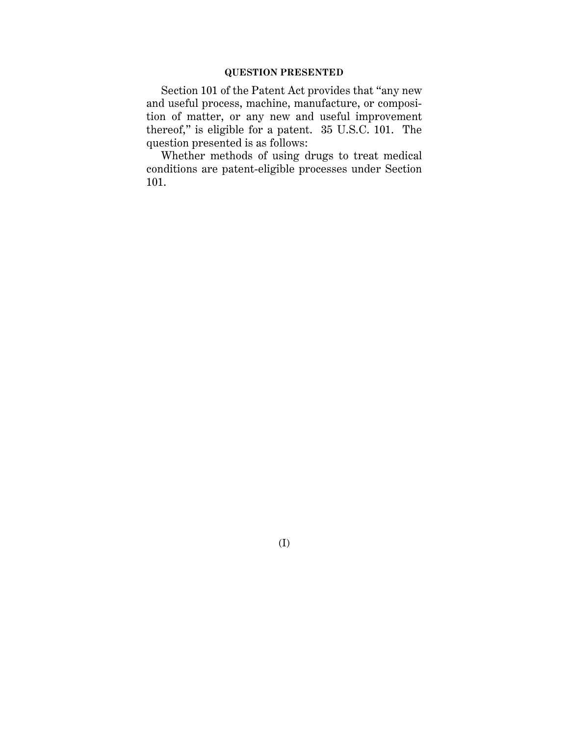## **QUESTION PRESENTED**

Section 101 of the Patent Act provides that "any new and useful process, machine, manufacture, or composition of matter, or any new and useful improvement thereof," is eligible for a patent. 35 U.S.C. 101. The question presented is as follows:

Whether methods of using drugs to treat medical conditions are patent-eligible processes under Section 101.

(I)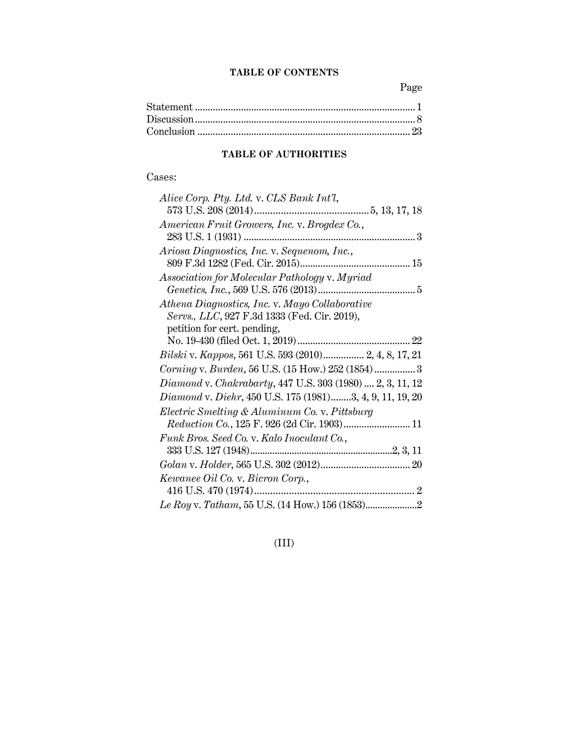## **TABLE OF CONTENTS**

Page

## **TABLE OF AUTHORITIES**

## Cases:

| Alice Corp. Pty. Ltd. v. CLS Bank Int'l,                  |
|-----------------------------------------------------------|
|                                                           |
| American Fruit Growers, Inc. v. Brogdex Co.,              |
|                                                           |
| Ariosa Diagnostics, Inc. v. Sequenom, Inc.,               |
|                                                           |
| Association for Molecular Pathology v. Myriad             |
|                                                           |
| Athena Diagnostics, Inc. v. Mayo Collaborative            |
| Servs., LLC, 927 F.3d 1333 (Fed. Cir. 2019),              |
| petition for cert. pending,                               |
|                                                           |
| Bilski v. Kappos, 561 U.S. 593 (2010) 2, 4, 8, 17, 21     |
| Corning v. Burden, 56 U.S. (15 How.) 252 (1854) 3         |
| Diamond v. Chakrabarty, 447 U.S. 303 (1980)  2, 3, 11, 12 |
| Diamond v. Diehr, 450 U.S. 175 (1981)3, 4, 9, 11, 19, 20  |
| Electric Smelting & Aluminum Co. v. Pittsburg             |
| Reduction Co., 125 F. 926 (2d Cir. 1903) 11               |
| Funk Bros. Seed Co. v. Kalo Inoculant Co.,                |
|                                                           |
|                                                           |
| Kewanee Oil Co. v. Bicron Corp.,                          |
|                                                           |
|                                                           |

(III)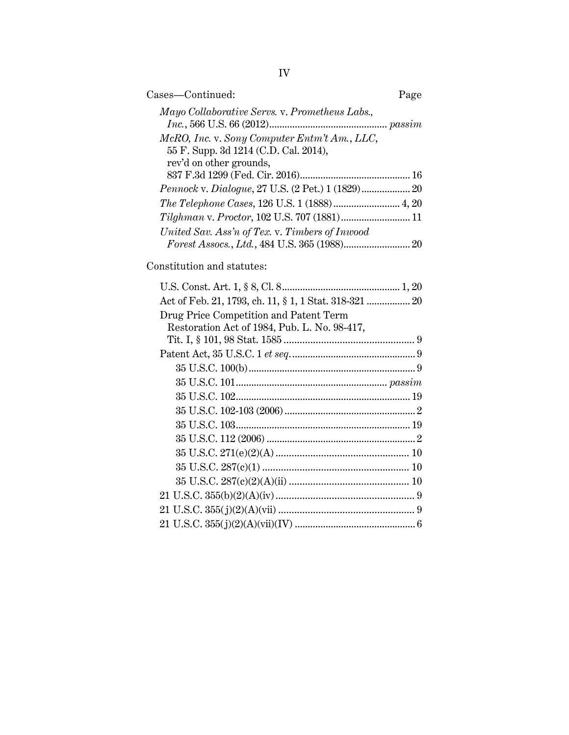| Cases-Continued:                                                                      | Page |
|---------------------------------------------------------------------------------------|------|
| Mayo Collaborative Servs. v. Prometheus Labs.,                                        |      |
| McRO, Inc. v. Sony Computer Entm't Am., LLC,<br>55 F. Supp. 3d 1214 (C.D. Cal. 2014), |      |
| rev'd on other grounds,                                                               |      |
|                                                                                       |      |
|                                                                                       |      |
| Tilghman v. Proctor, 102 U.S. 707 (1881) 11                                           |      |
| United Sav. Ass'n of Tex. v. Timbers of Inwood                                        |      |

Constitution and statutes:

| Act of Feb. 21, 1793, ch. 11, § 1, 1 Stat. 318-321  20 |  |
|--------------------------------------------------------|--|
| Drug Price Competition and Patent Term                 |  |
| Restoration Act of 1984, Pub. L. No. 98-417,           |  |
|                                                        |  |
|                                                        |  |
|                                                        |  |
|                                                        |  |
|                                                        |  |
|                                                        |  |
|                                                        |  |
|                                                        |  |
|                                                        |  |
|                                                        |  |
|                                                        |  |
|                                                        |  |
|                                                        |  |
|                                                        |  |
|                                                        |  |

IV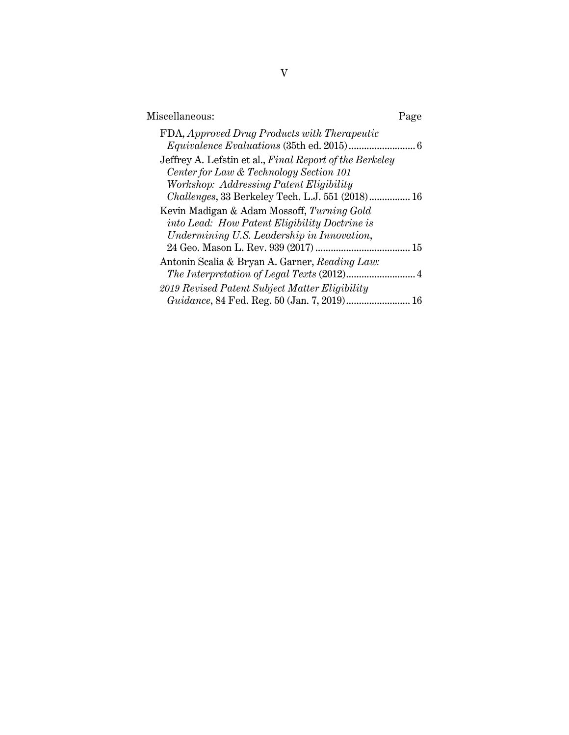| FDA, Approved Drug Products with Therapeutic<br>Jeffrey A. Lefstin et al., Final Report of the Berkeley<br>Center for Law & Technology Section 101<br>Workshop: Addressing Patent Eligibility<br>Challenges, 33 Berkeley Tech. L.J. 551 (2018) 16<br>Kevin Madigan & Adam Mossoff, Turning Gold<br>into Lead: How Patent Eligibility Doctrine is<br>Undermining U.S. Leadership in Innovation,<br>Antonin Scalia & Bryan A. Garner, Reading Law:<br>2019 Revised Patent Subject Matter Eligibility | Miscellaneous: | Page |
|----------------------------------------------------------------------------------------------------------------------------------------------------------------------------------------------------------------------------------------------------------------------------------------------------------------------------------------------------------------------------------------------------------------------------------------------------------------------------------------------------|----------------|------|
|                                                                                                                                                                                                                                                                                                                                                                                                                                                                                                    |                |      |
|                                                                                                                                                                                                                                                                                                                                                                                                                                                                                                    |                |      |
|                                                                                                                                                                                                                                                                                                                                                                                                                                                                                                    |                |      |
|                                                                                                                                                                                                                                                                                                                                                                                                                                                                                                    |                | 16   |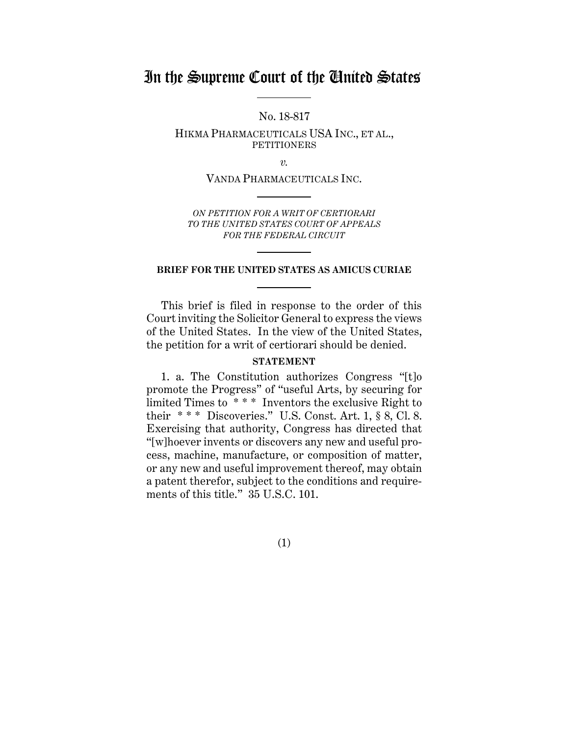## In the Supreme Court of the United States

No. 18-817

HIKMA PHARMACEUTICALS USA INC., ET AL., **PETITIONERS** 

*v.*

VANDA PHARMACEUTICALS INC.

*ON PETITION FOR A WRIT OF CERTIORARI TO THE UNITED STATES COURT OF APPEALS FOR THE FEDERAL CIRCUIT*

## **BRIEF FOR THE UNITED STATES AS AMICUS CURIAE**

This brief is filed in response to the order of this Court inviting the Solicitor General to express the views of the United States. In the view of the United States, the petition for a writ of certiorari should be denied.

### **STATEMENT**

1. a. The Constitution authorizes Congress "[t]o promote the Progress" of "useful Arts, by securing for limited Times to \*\*\*\* Inventors the exclusive Right to their  $***$  Discoveries." U.S. Const. Art. 1, § 8, Cl. 8. Exercising that authority, Congress has directed that "[w]hoever invents or discovers any new and useful process, machine, manufacture, or composition of matter, or any new and useful improvement thereof, may obtain a patent therefor, subject to the conditions and requirements of this title." 35 U.S.C. 101.

(1)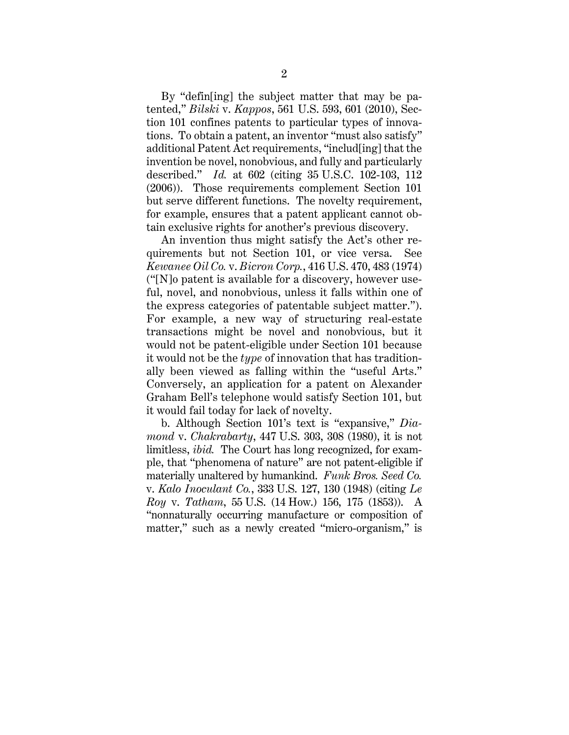By "defin[ing] the subject matter that may be patented," *Bilski* v. *Kappos*, 561 U.S. 593, 601 (2010), Section 101 confines patents to particular types of innovations. To obtain a patent, an inventor "must also satisfy" additional Patent Act requirements, "includ[ing] that the invention be novel, nonobvious, and fully and particularly described." *Id.* at 602 (citing 35 U.S.C. 102-103, 112 (2006)). Those requirements complement Section 101 but serve different functions. The novelty requirement, for example, ensures that a patent applicant cannot obtain exclusive rights for another's previous discovery.

An invention thus might satisfy the Act's other requirements but not Section 101, or vice versa. See *Kewanee Oil Co.* v. *Bicron Corp.*, 416 U.S. 470, 483 (1974) ("[N]o patent is available for a discovery, however useful, novel, and nonobvious, unless it falls within one of the express categories of patentable subject matter."). For example, a new way of structuring real-estate transactions might be novel and nonobvious, but it would not be patent-eligible under Section 101 because it would not be the *type* of innovation that has traditionally been viewed as falling within the "useful Arts." Conversely, an application for a patent on Alexander Graham Bell's telephone would satisfy Section 101, but it would fail today for lack of novelty.

b. Although Section 101's text is "expansive," *Diamond* v. *Chakrabarty*, 447 U.S. 303, 308 (1980), it is not limitless, *ibid.* The Court has long recognized, for example, that "phenomena of nature" are not patent-eligible if materially unaltered by humankind. *Funk Bros. Seed Co.* v. *Kalo Inoculant Co.*, 333 U.S. 127, 130 (1948) (citing *Le Roy* v. *Tatham*, 55 U.S. (14 How.) 156, 175 (1853)). A "nonnaturally occurring manufacture or composition of matter," such as a newly created "micro-organism," is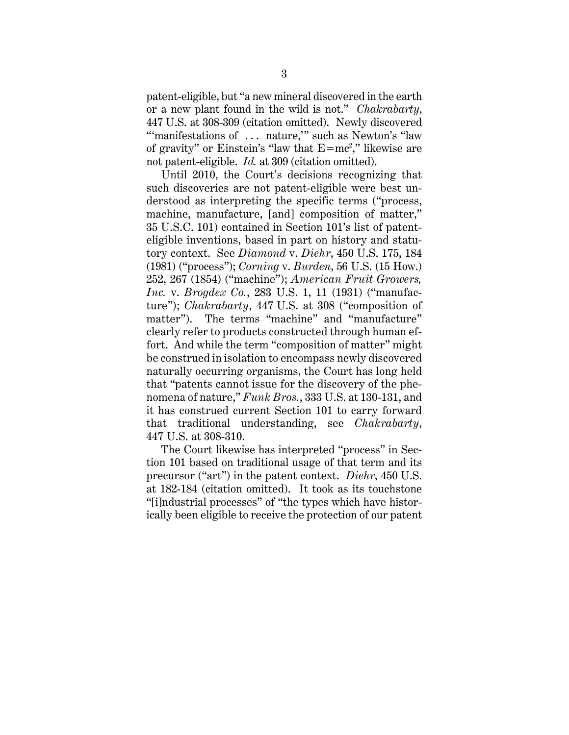patent-eligible, but "a new mineral discovered in the earth or a new plant found in the wild is not." *Chakrabarty*, 447 U.S. at 308-309 (citation omitted). Newly discovered "'manifestations of ... nature," such as Newton's "law" of gravity" or Einstein's "law that  $E=mc^2$ ," likewise are not patent-eligible. *Id.* at 309 (citation omitted).

Until 2010, the Court's decisions recognizing that such discoveries are not patent-eligible were best understood as interpreting the specific terms ("process, machine, manufacture, [and] composition of matter," 35 U.S.C. 101) contained in Section 101's list of patenteligible inventions, based in part on history and statutory context. See *Diamond* v. *Diehr*, 450 U.S. 175, 184 (1981) ("process"); *Corning* v. *Burden*, 56 U.S. (15 How.) 252, 267 (1854) ("machine"); *American Fruit Growers, Inc.* v. *Brogdex Co.*, 283 U.S. 1, 11 (1931) ("manufacture"); *Chakrabarty*, 447 U.S. at 308 ("composition of matter"). The terms "machine" and "manufacture" clearly refer to products constructed through human effort. And while the term "composition of matter" might be construed in isolation to encompass newly discovered naturally occurring organisms, the Court has long held that "patents cannot issue for the discovery of the phenomena of nature," *Funk Bros.*, 333 U.S. at 130-131, and it has construed current Section 101 to carry forward that traditional understanding, see *Chakrabarty*, 447 U.S. at 308-310.

The Court likewise has interpreted "process" in Section 101 based on traditional usage of that term and its precursor ("art") in the patent context. *Diehr*, 450 U.S. at 182-184 (citation omitted). It took as its touchstone "[i]ndustrial processes" of "the types which have historically been eligible to receive the protection of our patent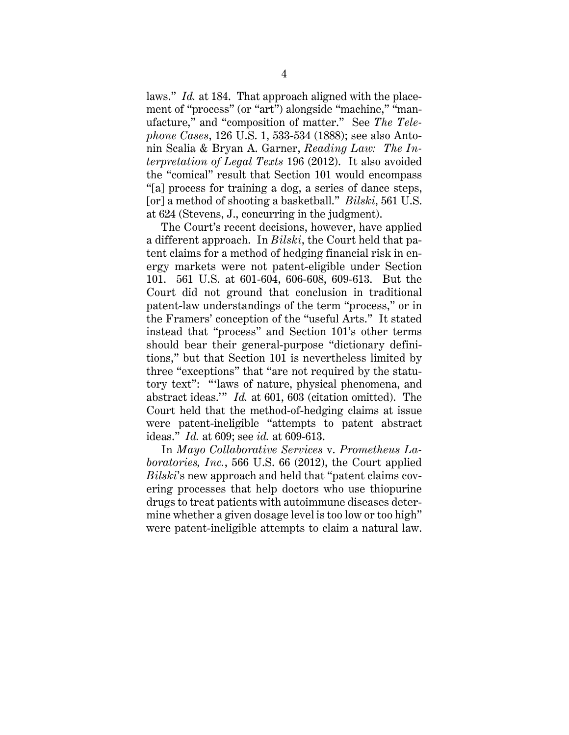laws." *Id.* at 184. That approach aligned with the placement of "process" (or "art") alongside "machine," "manufacture," and "composition of matter." See *The Telephone Cases*, 126 U.S. 1, 533-534 (1888); see also Antonin Scalia & Bryan A. Garner, *Reading Law: The Interpretation of Legal Texts* 196 (2012). It also avoided the "comical" result that Section 101 would encompass "[a] process for training a dog, a series of dance steps, [or] a method of shooting a basketball." *Bilski*, 561 U.S. at 624 (Stevens, J., concurring in the judgment).

The Court's recent decisions, however, have applied a different approach. In *Bilski*, the Court held that patent claims for a method of hedging financial risk in energy markets were not patent-eligible under Section 101. 561 U.S. at 601-604, 606-608, 609-613. But the Court did not ground that conclusion in traditional patent-law understandings of the term "process," or in the Framers' conception of the "useful Arts." It stated instead that "process" and Section 101's other terms should bear their general-purpose "dictionary definitions," but that Section 101 is nevertheless limited by three "exceptions" that "are not required by the statutory text": "'laws of nature, physical phenomena, and abstract ideas.'" *Id.* at 601, 603 (citation omitted). The Court held that the method-of-hedging claims at issue were patent-ineligible "attempts to patent abstract ideas." *Id.* at 609; see *id.* at 609-613.

In *Mayo Collaborative Services* v. *Prometheus Laboratories, Inc.*, 566 U.S. 66 (2012), the Court applied *Bilski*'s new approach and held that "patent claims covering processes that help doctors who use thiopurine drugs to treat patients with autoimmune diseases determine whether a given dosage level is too low or too high" were patent-ineligible attempts to claim a natural law.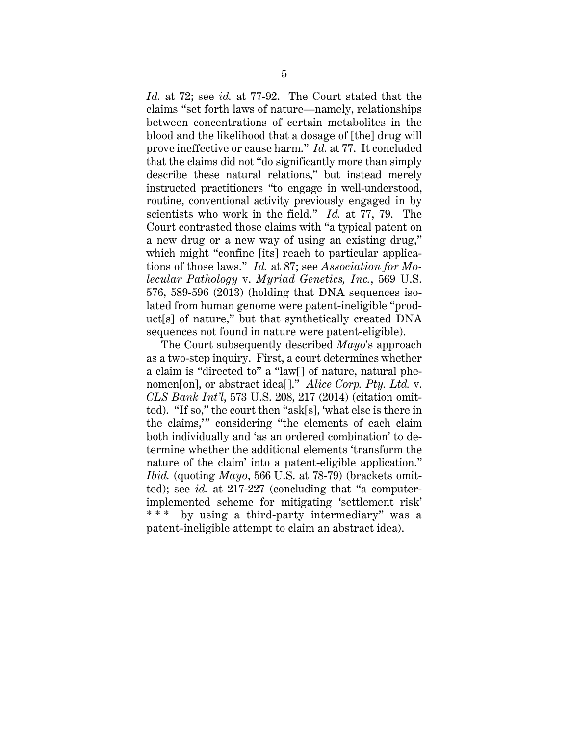*Id.* at 72; see *id.* at 77-92. The Court stated that the claims "set forth laws of nature—namely, relationships between concentrations of certain metabolites in the blood and the likelihood that a dosage of [the] drug will prove ineffective or cause harm." *Id.* at 77. It concluded that the claims did not "do significantly more than simply describe these natural relations," but instead merely instructed practitioners "to engage in well-understood, routine, conventional activity previously engaged in by scientists who work in the field." *Id.* at 77, 79. The Court contrasted those claims with "a typical patent on a new drug or a new way of using an existing drug," which might "confine [its] reach to particular applications of those laws." *Id.* at 87; see *Association for Molecular Pathology* v. *Myriad Genetics, Inc.*, 569 U.S. 576, 589-596 (2013) (holding that DNA sequences isolated from human genome were patent-ineligible "product[s] of nature," but that synthetically created DNA sequences not found in nature were patent-eligible).

The Court subsequently described *Mayo*'s approach as a two-step inquiry. First, a court determines whether a claim is "directed to" a "law[] of nature, natural phenomen[on], or abstract idea[]." *Alice Corp. Pty. Ltd.* v. *CLS Bank Int'l*, 573 U.S. 208, 217 (2014) (citation omitted). "If so," the court then "ask[s], 'what else is there in the claims,'" considering "the elements of each claim both individually and 'as an ordered combination' to determine whether the additional elements 'transform the nature of the claim' into a patent-eligible application." *Ibid.* (quoting *Mayo*, 566 U.S. at 78-79) (brackets omitted); see *id.* at 217-227 (concluding that "a computerimplemented scheme for mitigating 'settlement risk' by using a third-party intermediary" was a patent-ineligible attempt to claim an abstract idea).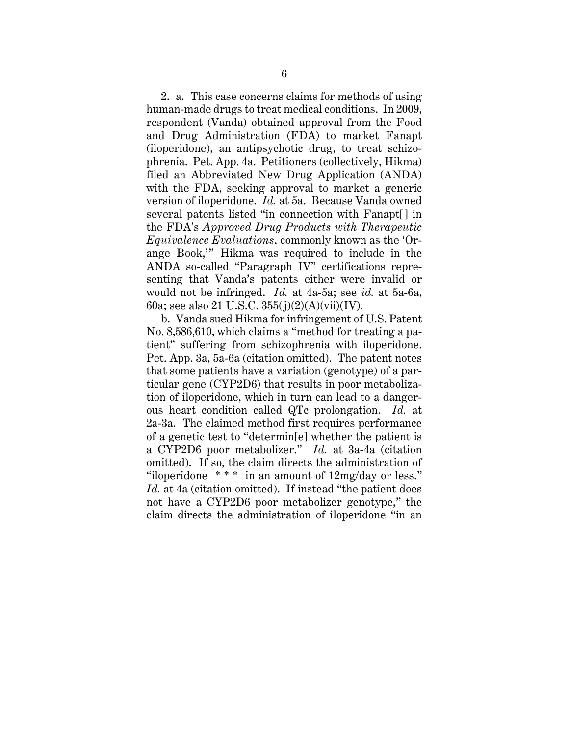2. a. This case concerns claims for methods of using human-made drugs to treat medical conditions. In 2009, respondent (Vanda) obtained approval from the Food and Drug Administration (FDA) to market Fanapt (iloperidone), an antipsychotic drug, to treat schizophrenia. Pet. App. 4a. Petitioners (collectively, Hikma) filed an Abbreviated New Drug Application (ANDA) with the FDA, seeking approval to market a generic version of iloperidone. *Id.* at 5a. Because Vanda owned several patents listed "in connection with Fanapt[] in the FDA's *Approved Drug Products with Therapeutic Equivalence Evaluations*, commonly known as the 'Orange Book,'" Hikma was required to include in the ANDA so-called "Paragraph IV" certifications representing that Vanda's patents either were invalid or would not be infringed. *Id.* at 4a-5a; see *id.* at 5a-6a, 60a; see also 21 U.S.C. 355(j)(2)(A)(vii)(IV).

b. Vanda sued Hikma for infringement of U.S. Patent No. 8,586,610, which claims a "method for treating a patient" suffering from schizophrenia with iloperidone. Pet. App. 3a, 5a-6a (citation omitted). The patent notes that some patients have a variation (genotype) of a particular gene (CYP2D6) that results in poor metabolization of iloperidone, which in turn can lead to a dangerous heart condition called QTc prolongation. *Id.* at 2a-3a. The claimed method first requires performance of a genetic test to "determin[e] whether the patient is a CYP2D6 poor metabolizer." *Id.* at 3a-4a (citation omitted). If so, the claim directs the administration of "iloperidone  $***$  in an amount of  $12mg/day$  or less." Id. at 4a (citation omitted). If instead "the patient does" not have a CYP2D6 poor metabolizer genotype," the claim directs the administration of iloperidone "in an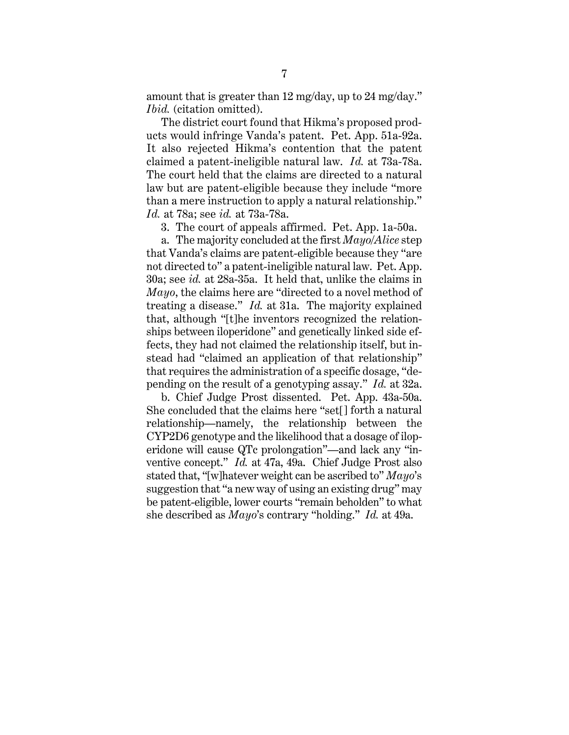amount that is greater than 12 mg/day, up to 24 mg/day." *Ibid.* (citation omitted).

The district court found that Hikma's proposed products would infringe Vanda's patent. Pet. App. 51a-92a. It also rejected Hikma's contention that the patent claimed a patent-ineligible natural law. *Id.* at 73a-78a. The court held that the claims are directed to a natural law but are patent-eligible because they include "more than a mere instruction to apply a natural relationship." *Id.* at 78a; see *id.* at 73a-78a.

3. The court of appeals affirmed. Pet. App. 1a-50a.

a. The majority concluded at the first *Mayo*/*Alice* step that Vanda's claims are patent-eligible because they "are not directed to" a patent-ineligible natural law. Pet. App. 30a; see *id.* at 28a-35a.It held that, unlike the claims in *Mayo*, the claims here are "directed to a novel method of treating a disease." *Id.* at 31a. The majority explained that, although "[t]he inventors recognized the relationships between iloperidone" and genetically linked side effects, they had not claimed the relationship itself, but instead had "claimed an application of that relationship" that requires the administration of a specific dosage, "depending on the result of a genotyping assay." *Id.* at 32a.

b. Chief Judge Prost dissented. Pet. App. 43a-50a. She concluded that the claims here "set[] forth a natural relationship—namely, the relationship between the CYP2D6 genotype and the likelihood that a dosage of iloperidone will cause QTc prolongation"—and lack any "inventive concept." *Id.* at 47a, 49a. Chief Judge Prost also stated that, "[w]hatever weight can be ascribed to" *Mayo*'s suggestion that "a new way of using an existing drug" may be patent-eligible, lower courts "remain beholden" to what she described as *Mayo*'s contrary "holding." *Id.* at 49a.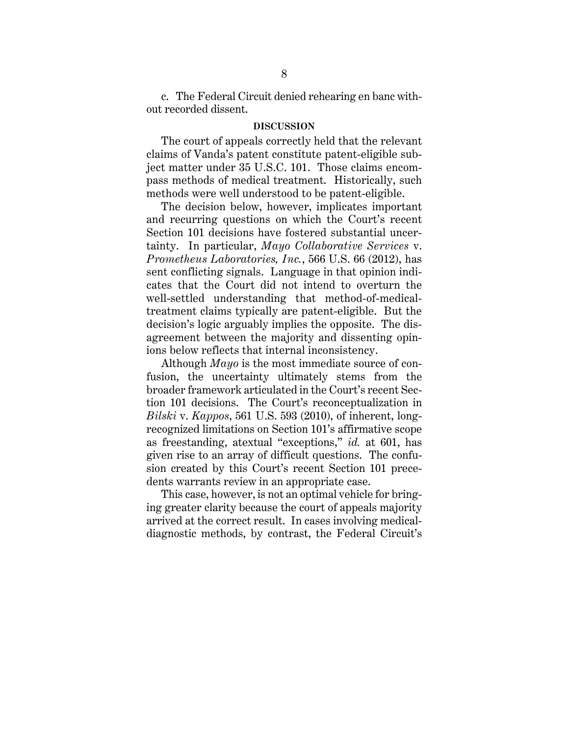c. The Federal Circuit denied rehearing en banc without recorded dissent.

#### **DISCUSSION**

The court of appeals correctly held that the relevant claims of Vanda's patent constitute patent-eligible subject matter under 35 U.S.C. 101. Those claims encompass methods of medical treatment. Historically, such methods were well understood to be patent-eligible.

The decision below, however, implicates important and recurring questions on which the Court's recent Section 101 decisions have fostered substantial uncertainty. In particular, *Mayo Collaborative Services* v. *Prometheus Laboratories, Inc.*, 566 U.S. 66 (2012), has sent conflicting signals. Language in that opinion indicates that the Court did not intend to overturn the well-settled understanding that method-of-medicaltreatment claims typically are patent-eligible. But the decision's logic arguably implies the opposite. The disagreement between the majority and dissenting opinions below reflects that internal inconsistency.

Although *Mayo* is the most immediate source of confusion, the uncertainty ultimately stems from the broader framework articulated in the Court's recent Section 101 decisions. The Court's reconceptualization in *Bilski* v. *Kappos*, 561 U.S. 593 (2010), of inherent, longrecognized limitations on Section 101's affirmative scope as freestanding, atextual "exceptions," *id.* at 601, has given rise to an array of difficult questions. The confusion created by this Court's recent Section 101 precedents warrants review in an appropriate case.

This case, however, is not an optimal vehicle for bringing greater clarity because the court of appeals majority arrived at the correct result. In cases involving medicaldiagnostic methods, by contrast, the Federal Circuit's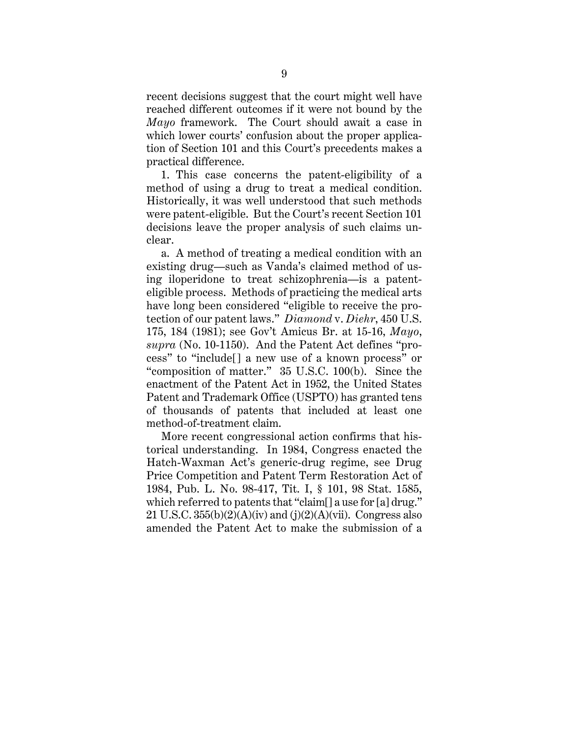recent decisions suggest that the court might well have reached different outcomes if it were not bound by the *Mayo* framework. The Court should await a case in which lower courts' confusion about the proper application of Section 101 and this Court's precedents makes a practical difference.

1. This case concerns the patent-eligibility of a method of using a drug to treat a medical condition. Historically, it was well understood that such methods were patent-eligible. But the Court's recent Section 101 decisions leave the proper analysis of such claims unclear.

a. A method of treating a medical condition with an existing drug—such as Vanda's claimed method of using iloperidone to treat schizophrenia—is a patenteligible process. Methods of practicing the medical arts have long been considered "eligible to receive the protection of our patent laws." *Diamond* v. *Diehr*, 450 U.S. 175, 184 (1981); see Gov't Amicus Br. at 15-16, *Mayo*, *supra* (No. 10-1150). And the Patent Act defines "process" to "include[] a new use of a known process" or "composition of matter." 35 U.S.C. 100(b). Since the enactment of the Patent Act in 1952, the United States Patent and Trademark Office (USPTO) has granted tens of thousands of patents that included at least one method-of-treatment claim.

More recent congressional action confirms that historical understanding. In 1984, Congress enacted the Hatch-Waxman Act's generic-drug regime, see Drug Price Competition and Patent Term Restoration Act of 1984, Pub. L. No. 98-417, Tit. I, § 101, 98 Stat. 1585, which referred to patents that "claim[] a use for [a] drug." 21 U.S.C.  $355(b)(2)(A)(iv)$  and  $(j)(2)(A)(vii)$ . Congress also amended the Patent Act to make the submission of a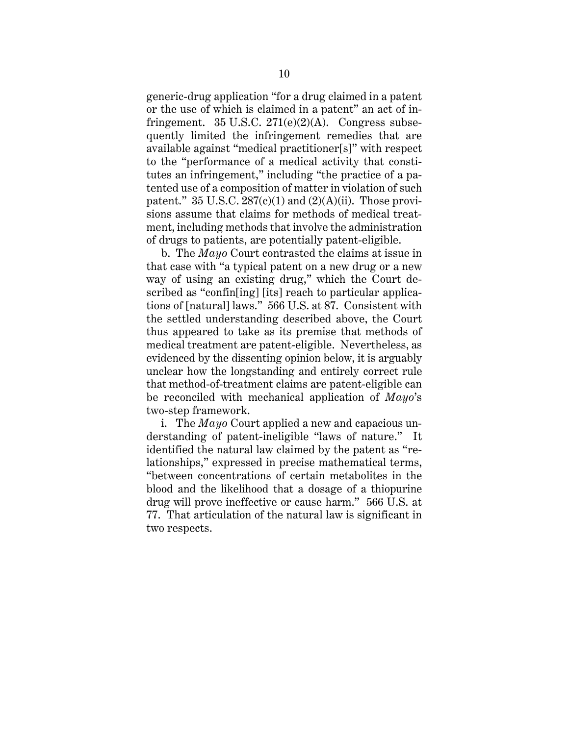generic-drug application "for a drug claimed in a patent or the use of which is claimed in a patent" an act of infringement. 35 U.S.C.  $271(e)(2)(A)$ . Congress subsequently limited the infringement remedies that are available against "medical practitioner[s]" with respect to the "performance of a medical activity that constitutes an infringement," including "the practice of a patented use of a composition of matter in violation of such patent." 35 U.S.C.  $287(c)(1)$  and  $(2)(A)(ii)$ . Those provisions assume that claims for methods of medical treatment, including methods that involve the administration of drugs to patients, are potentially patent-eligible.

b. The *Mayo* Court contrasted the claims at issue in that case with "a typical patent on a new drug or a new way of using an existing drug," which the Court described as "confin[ing] [its] reach to particular applications of [natural] laws." 566 U.S. at 87. Consistent with the settled understanding described above, the Court thus appeared to take as its premise that methods of medical treatment are patent-eligible. Nevertheless, as evidenced by the dissenting opinion below, it is arguably unclear how the longstanding and entirely correct rule that method-of-treatment claims are patent-eligible can be reconciled with mechanical application of *Mayo*'s two-step framework.

i. The *Mayo* Court applied a new and capacious understanding of patent-ineligible "laws of nature." It identified the natural law claimed by the patent as "relationships," expressed in precise mathematical terms, "between concentrations of certain metabolites in the blood and the likelihood that a dosage of a thiopurine drug will prove ineffective or cause harm." 566 U.S. at 77. That articulation of the natural law is significant in two respects.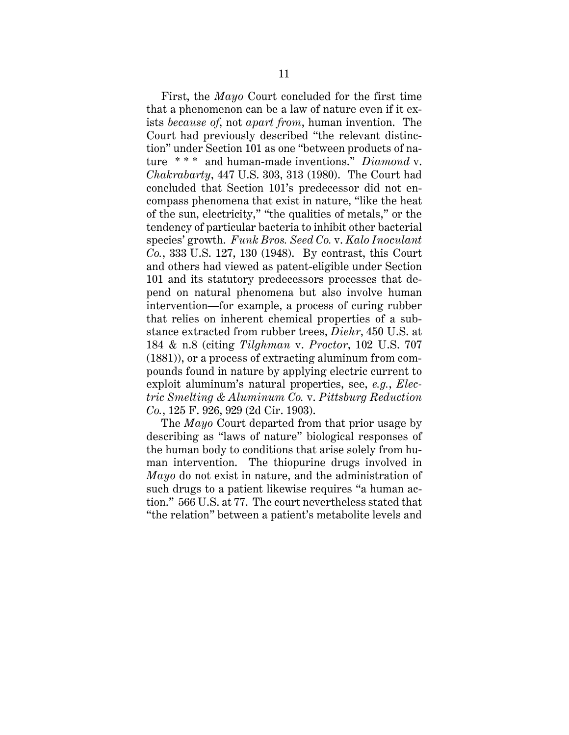First, the *Mayo* Court concluded for the first time that a phenomenon can be a law of nature even if it exists *because of*, not *apart from*, human invention. The Court had previously described "the relevant distinction" under Section 101 as one "between products of nature \* \* \* and human-made inventions." *Diamond* v. *Chakrabarty*, 447 U.S. 303, 313 (1980). The Court had concluded that Section 101's predecessor did not encompass phenomena that exist in nature, "like the heat of the sun, electricity," "the qualities of metals," or the tendency of particular bacteria to inhibit other bacterial species' growth. *Funk Bros. Seed Co.* v. *Kalo Inoculant Co.*, 333 U.S. 127, 130 (1948). By contrast, this Court and others had viewed as patent-eligible under Section 101 and its statutory predecessors processes that depend on natural phenomena but also involve human intervention—for example, a process of curing rubber that relies on inherent chemical properties of a substance extracted from rubber trees, *Diehr*, 450 U.S. at 184 & n.8 (citing *Tilghman* v. *Proctor*, 102 U.S. 707 (1881)), or a process of extracting aluminum from compounds found in nature by applying electric current to exploit aluminum's natural properties, see, *e.g.*, *Electric Smelting & Aluminum Co.* v. *Pittsburg Reduction Co.*, 125 F. 926, 929 (2d Cir. 1903).

The *Mayo* Court departed from that prior usage by describing as "laws of nature" biological responses of the human body to conditions that arise solely from human intervention. The thiopurine drugs involved in *Mayo* do not exist in nature, and the administration of such drugs to a patient likewise requires "a human action." 566 U.S. at 77. The court nevertheless stated that "the relation" between a patient's metabolite levels and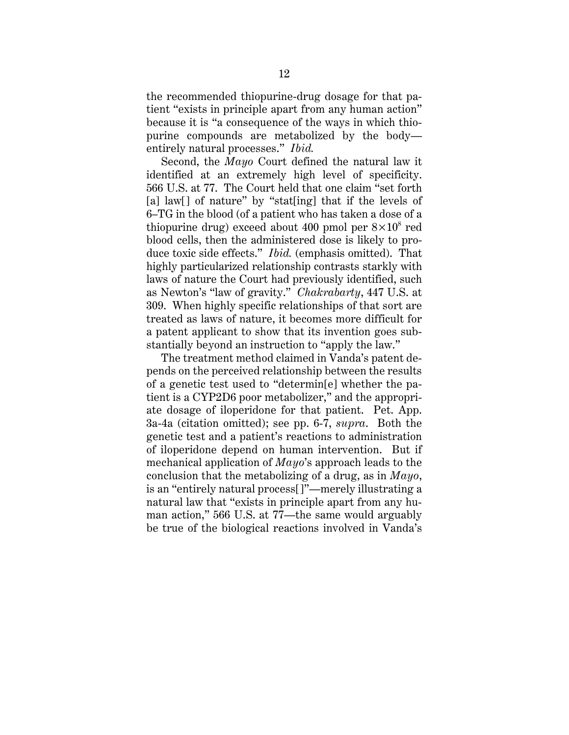the recommended thiopurine-drug dosage for that patient "exists in principle apart from any human action" because it is "a consequence of the ways in which thiopurine compounds are metabolized by the body entirely natural processes." *Ibid.*

Second, the *Mayo* Court defined the natural law it identified at an extremely high level of specificity. 566 U.S. at 77. The Court held that one claim "set forth [a] law[] of nature" by "stat[ing] that if the levels of 6–TG in the blood (of a patient who has taken a dose of a thiopurine drug) exceed about 400 pmol per  $8\times10^8$  red blood cells, then the administered dose is likely to produce toxic side effects." *Ibid.* (emphasis omitted). That highly particularized relationship contrasts starkly with laws of nature the Court had previously identified, such as Newton's "law of gravity." *Chakrabarty*, 447 U.S. at 309. When highly specific relationships of that sort are treated as laws of nature, it becomes more difficult for a patent applicant to show that its invention goes substantially beyond an instruction to "apply the law."

The treatment method claimed in Vanda's patent depends on the perceived relationship between the results of a genetic test used to "determin[e] whether the patient is a CYP2D6 poor metabolizer," and the appropriate dosage of iloperidone for that patient. Pet. App. 3a-4a (citation omitted); see pp. 6-7, *supra*. Both the genetic test and a patient's reactions to administration of iloperidone depend on human intervention. But if mechanical application of *Mayo*'s approach leads to the conclusion that the metabolizing of a drug, as in *Mayo*, is an "entirely natural process[]"—merely illustrating a natural law that "exists in principle apart from any human action," 566 U.S. at 77—the same would arguably be true of the biological reactions involved in Vanda's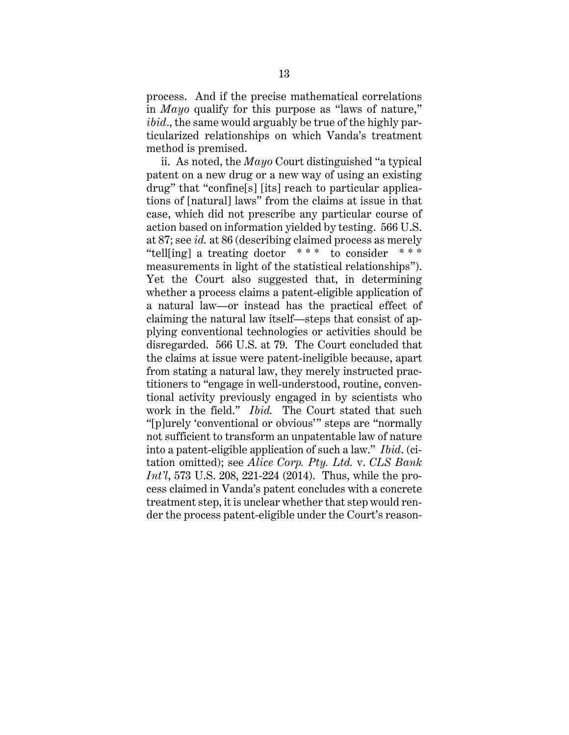process. And if the precise mathematical correlations in *Mayo* qualify for this purpose as "laws of nature," *ibid*., the same would arguably be true of the highly particularized relationships on which Vanda's treatment method is premised.

ii. As noted, the *Mayo* Court distinguished "a typical patent on a new drug or a new way of using an existing drug" that "confine[s] [its] reach to particular applications of [natural] laws" from the claims at issue in that case, which did not prescribe any particular course of action based on information yielded by testing. 566 U.S. at 87; see *id.* at 86 (describing claimed process as merely "tell[ing] a treating doctor  $***$  to consider measurements in light of the statistical relationships"). Yet the Court also suggested that, in determining whether a process claims a patent-eligible application of a natural law—or instead has the practical effect of claiming the natural law itself—steps that consist of applying conventional technologies or activities should be disregarded. 566 U.S. at 79. The Court concluded that the claims at issue were patent-ineligible because, apart from stating a natural law, they merely instructed practitioners to "engage in well-understood, routine, conventional activity previously engaged in by scientists who work in the field." *Ibid.* The Court stated that such "[p]urely 'conventional or obvious'" steps are "normally not sufficient to transform an unpatentable law of nature into a patent-eligible application of such a law." *Ibid*. (citation omitted); see *Alice Corp. Pty. Ltd.* v. *CLS Bank Int'l*, 573 U.S. 208, 221-224 (2014). Thus, while the process claimed in Vanda's patent concludes with a concrete treatment step, it is unclear whether that step would render the process patent-eligible under the Court's reason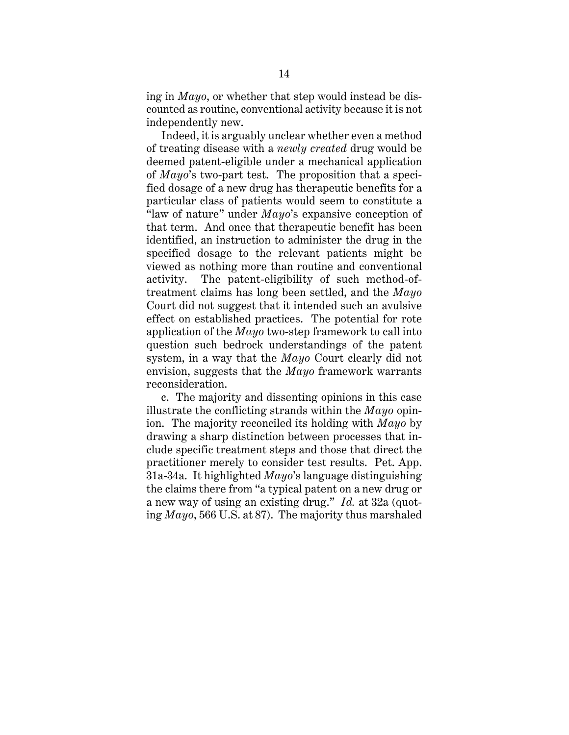ing in *Mayo*, or whether that step would instead be discounted as routine, conventional activity because it is not independently new.

Indeed, it is arguably unclear whether even a method of treating disease with a *newly created* drug would be deemed patent-eligible under a mechanical application of *Mayo*'s two-part test. The proposition that a specified dosage of a new drug has therapeutic benefits for a particular class of patients would seem to constitute a "law of nature" under *Mayo*'s expansive conception of that term. And once that therapeutic benefit has been identified, an instruction to administer the drug in the specified dosage to the relevant patients might be viewed as nothing more than routine and conventional activity. The patent-eligibility of such method-oftreatment claims has long been settled, and the *Mayo* Court did not suggest that it intended such an avulsive effect on established practices. The potential for rote application of the *Mayo* two-step framework to call into question such bedrock understandings of the patent system, in a way that the *Mayo* Court clearly did not envision, suggests that the *Mayo* framework warrants reconsideration.

c. The majority and dissenting opinions in this case illustrate the conflicting strands within the *Mayo* opinion. The majority reconciled its holding with *Mayo* by drawing a sharp distinction between processes that include specific treatment steps and those that direct the practitioner merely to consider test results. Pet. App. 31a-34a. It highlighted *Mayo*'s language distinguishing the claims there from "a typical patent on a new drug or a new way of using an existing drug." *Id.* at 32a (quoting *Mayo*, 566 U.S. at 87). The majority thus marshaled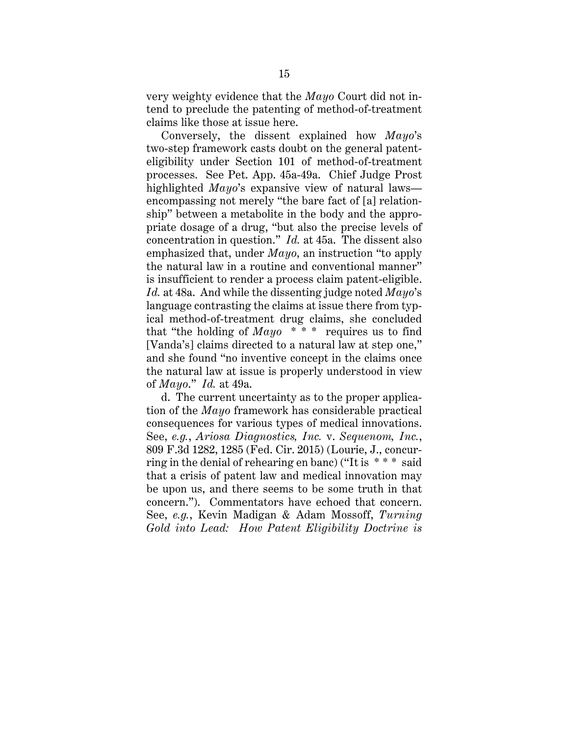very weighty evidence that the *Mayo* Court did not intend to preclude the patenting of method-of-treatment claims like those at issue here.

Conversely, the dissent explained how *Mayo*'s two-step framework casts doubt on the general patenteligibility under Section 101 of method-of-treatment processes. See Pet. App. 45a-49a. Chief Judge Prost highlighted *Mayo*'s expansive view of natural laws encompassing not merely "the bare fact of [a] relationship" between a metabolite in the body and the appropriate dosage of a drug, "but also the precise levels of concentration in question." *Id.* at 45a. The dissent also emphasized that, under *Mayo*, an instruction "to apply the natural law in a routine and conventional manner" is insufficient to render a process claim patent-eligible. *Id.* at 48a. And while the dissenting judge noted *Mayo*'s language contrasting the claims at issue there from typical method-of-treatment drug claims, she concluded that "the holding of *Mayo* \* \* \* requires us to find [Vanda's] claims directed to a natural law at step one," and she found "no inventive concept in the claims once the natural law at issue is properly understood in view of *Mayo*." *Id.* at 49a.

d. The current uncertainty as to the proper application of the *Mayo* framework has considerable practical consequences for various types of medical innovations. See, *e.g.*, *Ariosa Diagnostics, Inc.* v. *Sequenom, Inc.*, 809 F.3d 1282, 1285 (Fed. Cir. 2015) (Lourie, J., concurring in the denial of rehearing en banc) ("It is \* \* \* said that a crisis of patent law and medical innovation may be upon us, and there seems to be some truth in that concern."). Commentators have echoed that concern. See, *e.g.*, Kevin Madigan & Adam Mossoff, *Turning Gold into Lead: How Patent Eligibility Doctrine is*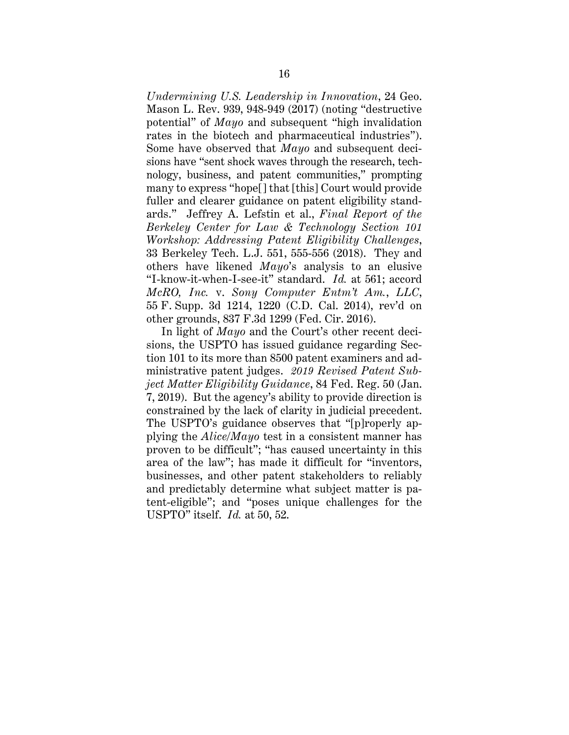*Undermining U.S. Leadership in Innovation*, 24 Geo. Mason L. Rev. 939, 948-949 (2017) (noting "destructive potential" of *Mayo* and subsequent "high invalidation rates in the biotech and pharmaceutical industries"). Some have observed that *Mayo* and subsequent decisions have "sent shock waves through the research, technology, business, and patent communities," prompting many to express "hope[] that [this] Court would provide fuller and clearer guidance on patent eligibility standards." Jeffrey A. Lefstin et al., *Final Report of the Berkeley Center for Law & Technology Section 101 Workshop: Addressing Patent Eligibility Challenges*, 33 Berkeley Tech. L.J. 551, 555-556 (2018). They and others have likened *Mayo*'s analysis to an elusive "I-know-it-when-I-see-it" standard. *Id.* at 561; accord *McRO, Inc.* v. *Sony Computer Entm't Am.*, *LLC*, 55 F. Supp. 3d 1214, 1220 (C.D. Cal. 2014), rev'd on other grounds, 837 F.3d 1299 (Fed. Cir. 2016).

In light of *Mayo* and the Court's other recent decisions, the USPTO has issued guidance regarding Section 101 to its more than 8500 patent examiners and administrative patent judges. *2019 Revised Patent Subject Matter Eligibility Guidance*, 84 Fed. Reg. 50 (Jan. 7, 2019). But the agency's ability to provide direction is constrained by the lack of clarity in judicial precedent. The USPTO's guidance observes that "[p]roperly applying the *Alice/Mayo* test in a consistent manner has proven to be difficult"; "has caused uncertainty in this area of the law"; has made it difficult for "inventors, businesses, and other patent stakeholders to reliably and predictably determine what subject matter is patent-eligible"; and "poses unique challenges for the USPTO" itself. *Id.* at 50, 52.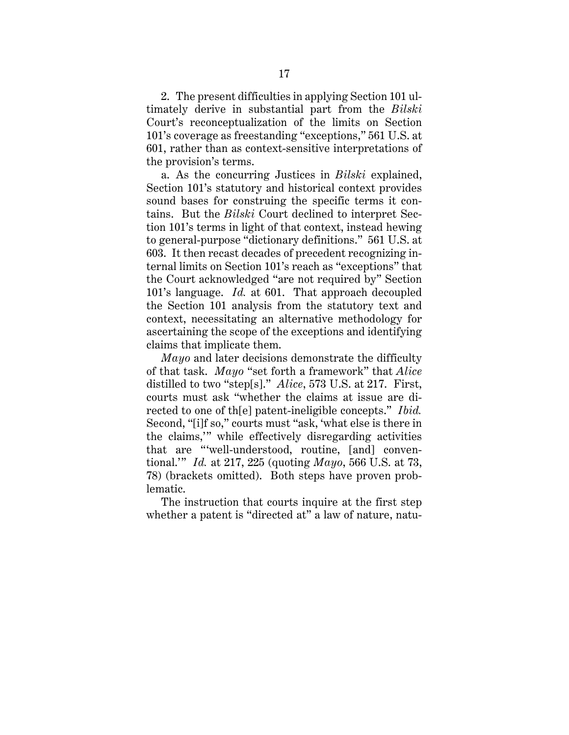2. The present difficulties in applying Section 101 ultimately derive in substantial part from the *Bilski* Court's reconceptualization of the limits on Section 101's coverage as freestanding "exceptions," 561 U.S. at 601, rather than as context-sensitive interpretations of the provision's terms.

a. As the concurring Justices in *Bilski* explained, Section 101's statutory and historical context provides sound bases for construing the specific terms it contains. But the *Bilski* Court declined to interpret Section 101's terms in light of that context, instead hewing to general-purpose "dictionary definitions." 561 U.S. at 603. It then recast decades of precedent recognizing internal limits on Section 101's reach as "exceptions" that the Court acknowledged "are not required by" Section 101's language. *Id.* at 601. That approach decoupled the Section 101 analysis from the statutory text and context, necessitating an alternative methodology for ascertaining the scope of the exceptions and identifying claims that implicate them.

*Mayo* and later decisions demonstrate the difficulty of that task. *Mayo* "set forth a framework" that *Alice*  distilled to two "step[s]." *Alice*, 573 U.S. at 217. First, courts must ask "whether the claims at issue are directed to one of th[e] patent-ineligible concepts." *Ibid.* Second, "[i]f so," courts must "ask, 'what else is there in the claims,'" while effectively disregarding activities that are "'well-understood, routine, [and] conventional.'" *Id.* at 217, 225 (quoting *Mayo*, 566 U.S. at 73, 78) (brackets omitted). Both steps have proven problematic.

The instruction that courts inquire at the first step whether a patent is "directed at" a law of nature, natu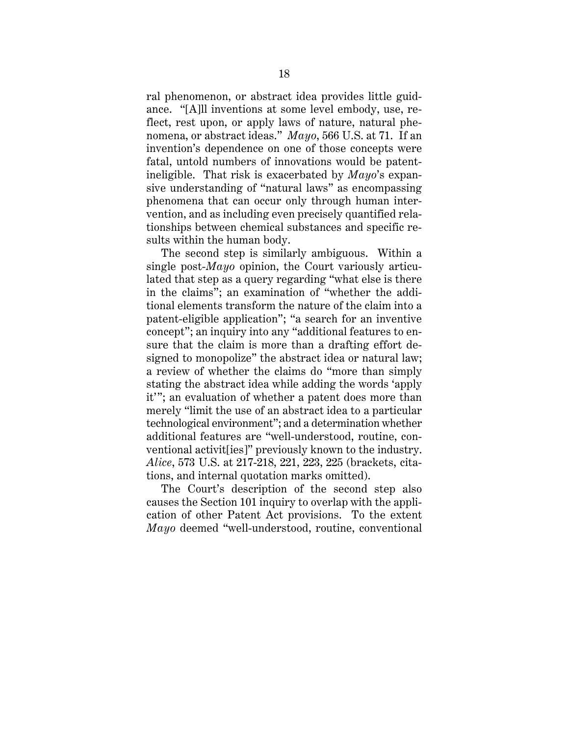ral phenomenon, or abstract idea provides little guidance. "[A]ll inventions at some level embody, use, reflect, rest upon, or apply laws of nature, natural phenomena, or abstract ideas." *Mayo*, 566 U.S. at 71. If an invention's dependence on one of those concepts were fatal, untold numbers of innovations would be patentineligible. That risk is exacerbated by *Mayo*'s expansive understanding of "natural laws" as encompassing phenomena that can occur only through human intervention, and as including even precisely quantified relationships between chemical substances and specific results within the human body.

The second step is similarly ambiguous. Within a single post-*Mayo* opinion, the Court variously articulated that step as a query regarding "what else is there in the claims"; an examination of "whether the additional elements transform the nature of the claim into a patent-eligible application"; "a search for an inventive concept"; an inquiry into any "additional features to ensure that the claim is more than a drafting effort designed to monopolize" the abstract idea or natural law; a review of whether the claims do "more than simply stating the abstract idea while adding the words 'apply it'"; an evaluation of whether a patent does more than merely "limit the use of an abstract idea to a particular technological environment"; and a determination whether additional features are "well-understood, routine, conventional activit[ies]" previously known to the industry. *Alice*, 573 U.S. at 217-218, 221, 223, 225 (brackets, citations, and internal quotation marks omitted).

The Court's description of the second step also causes the Section 101 inquiry to overlap with the application of other Patent Act provisions. To the extent *Mayo* deemed "well-understood, routine, conventional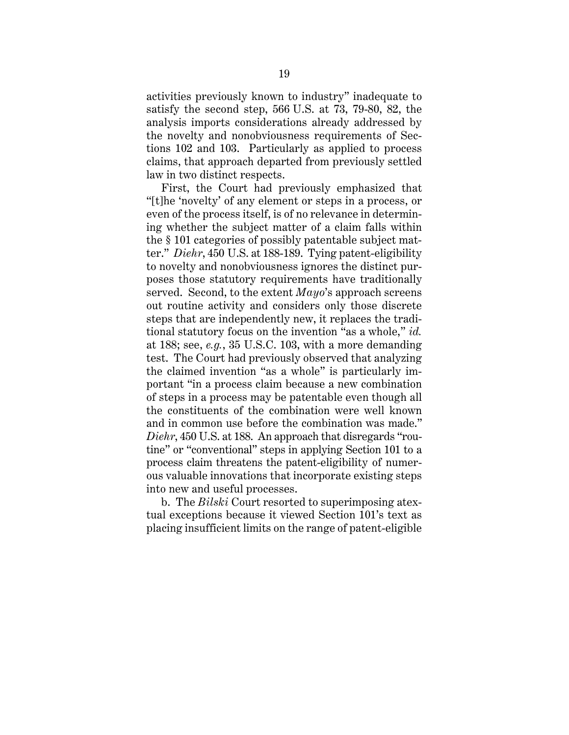activities previously known to industry" inadequate to satisfy the second step, 566 U.S. at 73, 79-80, 82, the analysis imports considerations already addressed by the novelty and nonobviousness requirements of Sections 102 and 103. Particularly as applied to process claims, that approach departed from previously settled law in two distinct respects.

First, the Court had previously emphasized that "[t]he 'novelty' of any element or steps in a process, or even of the process itself, is of no relevance in determining whether the subject matter of a claim falls within the § 101 categories of possibly patentable subject matter." *Diehr*, 450 U.S. at 188-189. Tying patent-eligibility to novelty and nonobviousness ignores the distinct purposes those statutory requirements have traditionally served. Second, to the extent *Mayo*'s approach screens out routine activity and considers only those discrete steps that are independently new, it replaces the traditional statutory focus on the invention "as a whole," *id.* at 188; see, *e.g.*, 35 U.S.C. 103, with a more demanding test. The Court had previously observed that analyzing the claimed invention "as a whole" is particularly important "in a process claim because a new combination of steps in a process may be patentable even though all the constituents of the combination were well known and in common use before the combination was made." *Diehr*, 450 U.S. at 188. An approach that disregards "routine" or "conventional" steps in applying Section 101 to a process claim threatens the patent-eligibility of numerous valuable innovations that incorporate existing steps into new and useful processes.

b. The *Bilski* Court resorted to superimposing atextual exceptions because it viewed Section 101's text as placing insufficient limits on the range of patent-eligible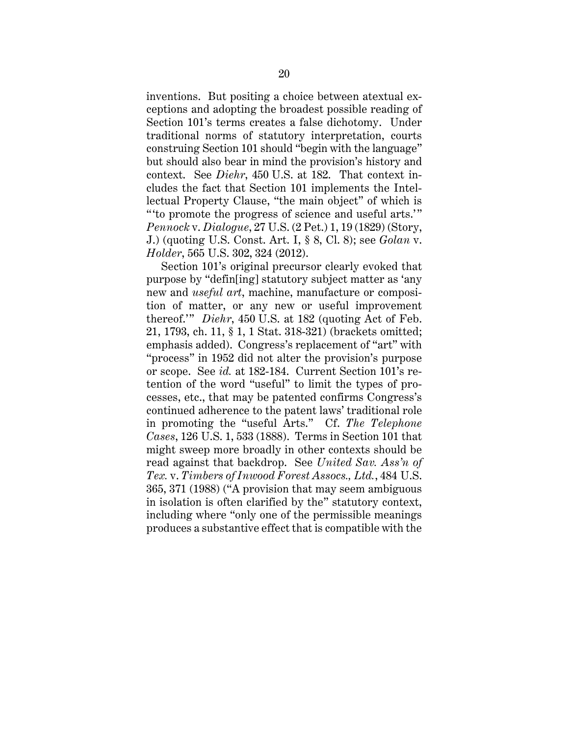inventions. But positing a choice between atextual exceptions and adopting the broadest possible reading of Section 101's terms creates a false dichotomy. Under traditional norms of statutory interpretation, courts construing Section 101 should "begin with the language" but should also bear in mind the provision's history and context. See *Diehr*, 450 U.S. at 182. That context includes the fact that Section 101 implements the Intellectual Property Clause, "the main object" of which is " to promote the progress of science and useful arts." *Pennock* v. *Dialogue*, 27 U.S. (2 Pet.) 1, 19 (1829) (Story, J.) (quoting U.S. Const. Art. I, § 8, Cl. 8); see *Golan* v. *Holder*, 565 U.S. 302, 324 (2012).

Section 101's original precursor clearly evoked that purpose by "defin[ing] statutory subject matter as 'any new and *useful art*, machine, manufacture or composition of matter, or any new or useful improvement thereof.'" *Diehr*, 450 U.S. at 182 (quoting Act of Feb. 21, 1793, ch. 11, § 1, 1 Stat. 318-321) (brackets omitted; emphasis added). Congress's replacement of "art" with "process" in 1952 did not alter the provision's purpose or scope. See *id.* at 182-184. Current Section 101's retention of the word "useful" to limit the types of processes, etc., that may be patented confirms Congress's continued adherence to the patent laws' traditional role in promoting the "useful Arts." Cf. *The Telephone Cases*, 126 U.S. 1, 533 (1888). Terms in Section 101 that might sweep more broadly in other contexts should be read against that backdrop. See *United Sav. Ass'n of Tex.* v. *Timbers of Inwood Forest Assocs., Ltd.*, 484 U.S. 365, 371 (1988) ("A provision that may seem ambiguous in isolation is often clarified by the" statutory context, including where "only one of the permissible meanings produces a substantive effect that is compatible with the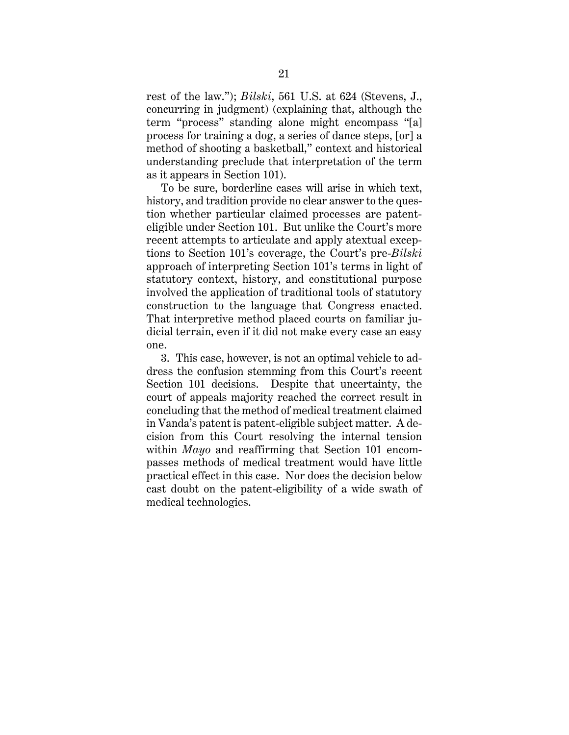rest of the law."); *Bilski*, 561 U.S. at 624 (Stevens, J., concurring in judgment) (explaining that, although the term "process" standing alone might encompass "[a] process for training a dog, a series of dance steps, [or] a method of shooting a basketball," context and historical understanding preclude that interpretation of the term as it appears in Section 101).

To be sure, borderline cases will arise in which text, history, and tradition provide no clear answer to the question whether particular claimed processes are patenteligible under Section 101. But unlike the Court's more recent attempts to articulate and apply atextual exceptions to Section 101's coverage, the Court's pre-*Bilski* approach of interpreting Section 101's terms in light of statutory context, history, and constitutional purpose involved the application of traditional tools of statutory construction to the language that Congress enacted. That interpretive method placed courts on familiar judicial terrain, even if it did not make every case an easy one.

3. This case, however, is not an optimal vehicle to address the confusion stemming from this Court's recent Section 101 decisions. Despite that uncertainty, the court of appeals majority reached the correct result in concluding that the method of medical treatment claimed in Vanda's patent is patent-eligible subject matter. A decision from this Court resolving the internal tension within *Mayo* and reaffirming that Section 101 encompasses methods of medical treatment would have little practical effect in this case. Nor does the decision below cast doubt on the patent-eligibility of a wide swath of medical technologies.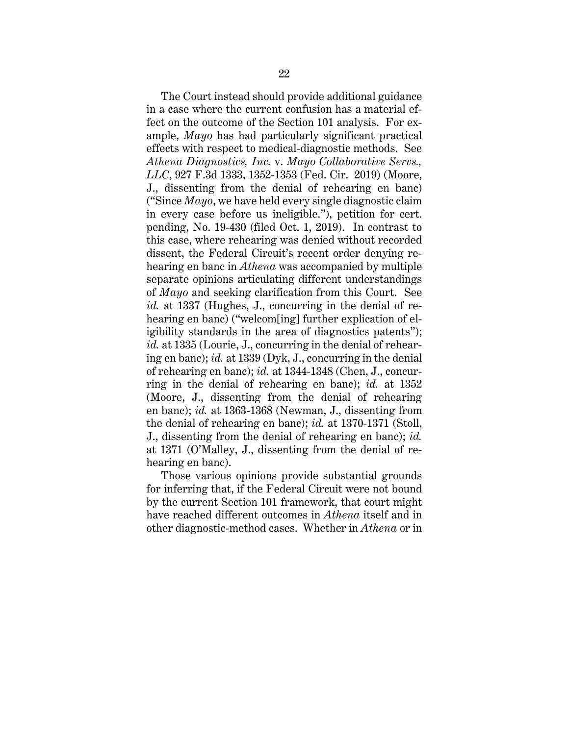The Court instead should provide additional guidance in a case where the current confusion has a material effect on the outcome of the Section 101 analysis. For example, *Mayo* has had particularly significant practical effects with respect to medical-diagnostic methods. See *Athena Diagnostics, Inc.* v. *Mayo Collaborative Servs., LLC*, 927 F.3d 1333, 1352-1353 (Fed. Cir. 2019) (Moore, J., dissenting from the denial of rehearing en banc) ("Since *Mayo*, we have held every single diagnostic claim in every case before us ineligible."), petition for cert. pending, No. 19-430 (filed Oct. 1, 2019). In contrast to this case, where rehearing was denied without recorded dissent, the Federal Circuit's recent order denying rehearing en banc in *Athena* was accompanied by multiple separate opinions articulating different understandings of *Mayo* and seeking clarification from this Court. See *id.* at 1337 (Hughes, J., concurring in the denial of rehearing en banc) ("welcom[ing] further explication of eligibility standards in the area of diagnostics patents"); *id.* at 1335 (Lourie, J., concurring in the denial of rehearing en banc); *id.* at 1339 (Dyk, J., concurring in the denial of rehearing en banc); *id.* at 1344-1348 (Chen, J., concurring in the denial of rehearing en banc); *id.* at 1352 (Moore, J., dissenting from the denial of rehearing en banc); *id.* at 1363-1368 (Newman, J., dissenting from the denial of rehearing en banc); *id.* at 1370-1371 (Stoll, J., dissenting from the denial of rehearing en banc); *id.* at 1371 (O'Malley, J., dissenting from the denial of rehearing en banc).

Those various opinions provide substantial grounds for inferring that, if the Federal Circuit were not bound by the current Section 101 framework, that court might have reached different outcomes in *Athena* itself and in other diagnostic-method cases. Whether in *Athena* or in